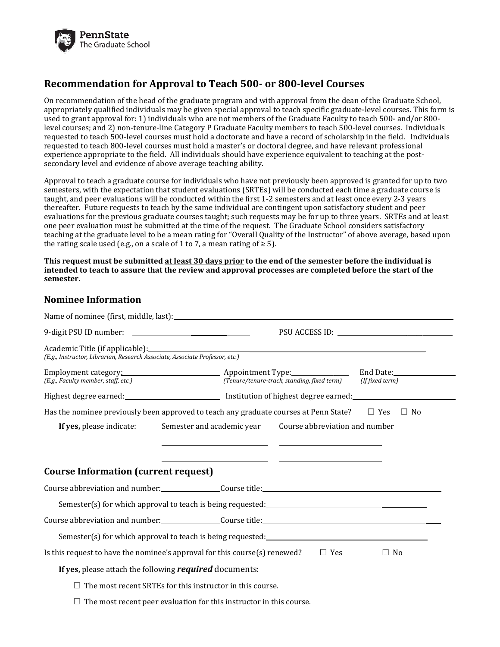

## **Recommendation for Approval to Teach 500- or 800-level Courses**

On recommendation of the head of the graduate program and with approval from the dean of the Graduate School, appropriately qualified individuals may be given special approval to teach specific graduate-level courses. This form is used to grant approval for: 1) individuals who are not members of the Graduate Faculty to teach 500- and/or 800 level courses; and 2) non-tenure-line Category P Graduate Faculty members to teach 500-level courses. Individuals requested to teach 500-level courses must hold a doctorate and have a record of scholarship in the field. Individuals requested to teach 800-level courses must hold a master's or doctoral degree, and have relevant professional experience appropriate to the field. All individuals should have experience equivalent to teaching at the postsecondary level and evidence of above average teaching ability.

Approval to teach a graduate course for individuals who have not previously been approved is granted for up to two semesters, with the expectation that student evaluations (SRTEs) will be conducted each time a graduate course is taught, and peer evaluations will be conducted within the first 1-2 semesters and at least once every 2-3 years thereafter. Future requests to teach by the same individual are contingent upon satisfactory student and peer evaluations for the previous graduate courses taught; such requests may be for up to three years. SRTEs and at least one peer evaluation must be submitted at the time of the request. The Graduate School considers satisfactory teaching at the graduate level to be a mean rating for "Overall Quality of the Instructor" of above average, based upon the rating scale used (e.g., on a scale of 1 to 7, a mean rating of  $\geq 5$ ).

**This request must be submitted at least 30 days prior to the end of the semester before the individual is intended to teach to assure that the review and approval processes are completed before the start of the semester.**

## **Nominee Information**  $\mathcal{L}$

| Academic Title (if applicable):<br>(E.g., Instructor, Librarian, Research Associate, Associate Professor, etc.) |  |           |  |
|-----------------------------------------------------------------------------------------------------------------|--|-----------|--|
| Employment category: Appointment Type: End Date: Eng. Faculty member, staff, etc.)                              |  |           |  |
|                                                                                                                 |  |           |  |
| Has the nominee previously been approved to teach any graduate courses at Penn State? $\square$ Yes             |  | $\Box$ No |  |
| If yes, please indicate: Semester and academic year Course abbreviation and number                              |  |           |  |
| <b>Course Information (current request)</b>                                                                     |  |           |  |
|                                                                                                                 |  |           |  |
|                                                                                                                 |  |           |  |
|                                                                                                                 |  |           |  |
|                                                                                                                 |  |           |  |
| Is this request to have the nominee's approval for this course(s) renewed?<br>$\Box$ Yes<br>$\Box$ No           |  |           |  |
| If yes, please attach the following required documents:                                                         |  |           |  |
| The most recent SRTEs for this instructor in this course.                                                       |  |           |  |
| $\Box$ The most recent peer evaluation for this instructor in this course.                                      |  |           |  |